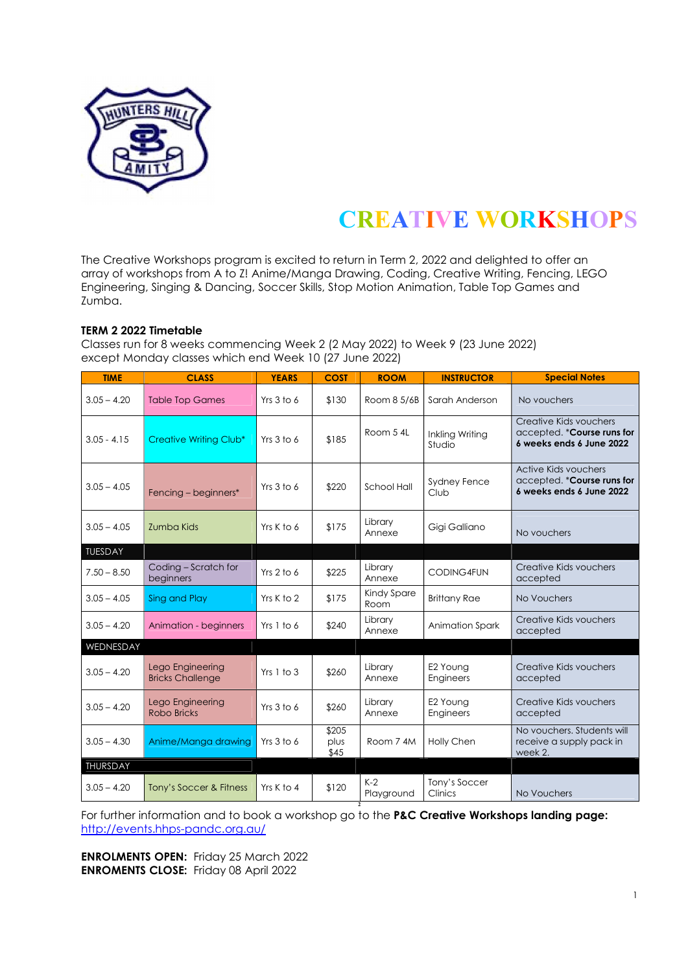

## CREATIVE WORKSHOPS

The Creative Workshops program is excited to return in Term 2, 2022 and delighted to offer an array of workshops from A to Z! Anime/Manga Drawing, Coding, Creative Writing, Fencing, LEGO Engineering, Singing & Dancing, Soccer Skills, Stop Motion Animation, Table Top Games and Zumba.

## TERM 2 2022 Timetable

Classes run for 8 weeks commencing Week 2 (2 May 2022) to Week 9 (23 June 2022) except Monday classes which end Week 10 (27 June 2022)

| <b>TIME</b>    | <b>CLASS</b>                                | <b>YEARS</b> | <b>COST</b>           | <b>ROOM</b>         | <b>INSTRUCTOR</b>         | <b>Special Notes</b>                                                              |
|----------------|---------------------------------------------|--------------|-----------------------|---------------------|---------------------------|-----------------------------------------------------------------------------------|
| $3.05 - 4.20$  | <b>Table Top Games</b>                      | Yrs 3 to 6   | \$130                 | Room 8 5/6B         | Sarah Anderson            | No vouchers                                                                       |
| $3.05 - 4.15$  | Creative Writing Club*                      | Yrs 3 to 6   | \$185                 | Room 5 4L           | Inkling Writing<br>Studio | Creative Kids vouchers<br>accepted. * Course runs for<br>6 weeks ends 6 June 2022 |
| $3.05 - 4.05$  | Fencing - beginners*                        | Yrs 3 to 6   | \$220                 | School Hall         | Sydney Fence<br>Club      | Active Kids vouchers<br>accepted. *Course runs for<br>6 weeks ends 6 June 2022    |
| $3.05 - 4.05$  | Zumba Kids                                  | Yrs K to 6   | \$175                 | Library<br>Annexe   | Gigi Galliano             | No vouchers                                                                       |
| <b>TUESDAY</b> |                                             |              |                       |                     |                           |                                                                                   |
| $7.50 - 8.50$  | Coding - Scratch for<br>beginners           | Yrs 2 to 6   | \$225                 | Library<br>Annexe   | <b>CODING4FUN</b>         | Creative Kids vouchers<br>accepted                                                |
| $3.05 - 4.05$  | Sing and Play                               | Yrs K to 2   | \$175                 | Kindy Spare<br>Room | <b>Brittany Rae</b>       | No Vouchers                                                                       |
| $3.05 - 4.20$  | Animation - beginners                       | Yrs 1 to 6   | \$240                 | Library<br>Annexe   | Animation Spark           | Creative Kids vouchers<br>accepted                                                |
| WEDNESDAY      |                                             |              |                       |                     |                           |                                                                                   |
| $3.05 - 4.20$  | Lego Engineering<br><b>Bricks Challenge</b> | Yrs 1 to 3   | \$260                 | Library<br>Annexe   | E2 Young<br>Engineers     | Creative Kids vouchers<br>accepted                                                |
| $3.05 - 4.20$  | Lego Engineering<br>Robo Bricks             | Yrs 3 to 6   | \$260                 | Library<br>Annexe   | E2 Young<br>Engineers     | Creative Kids vouchers<br>accepted                                                |
| $3.05 - 4.30$  | Anime/Manga drawing                         | Yrs 3 to 6   | \$205<br>plus<br>\$45 | Room 7 4M           | Holly Chen                | No vouchers. Students will<br>receive a supply pack in<br>week 2.                 |
| THURSDAY       |                                             |              |                       |                     |                           |                                                                                   |
| $3.05 - 4.20$  | Tony's Soccer & Fitness                     | Yrs K to 4   | \$120                 | $K-2$<br>Playground | Tony's Soccer<br>Clinics  | No Vouchers                                                                       |

For further information and to book a workshop go to the P&C Creative Workshops landing page: http://events.hhps-pandc.org.au/

2

ENROLMENTS OPEN: Friday 25 March 2022 ENROMENTS CLOSE: Friday 08 April 2022